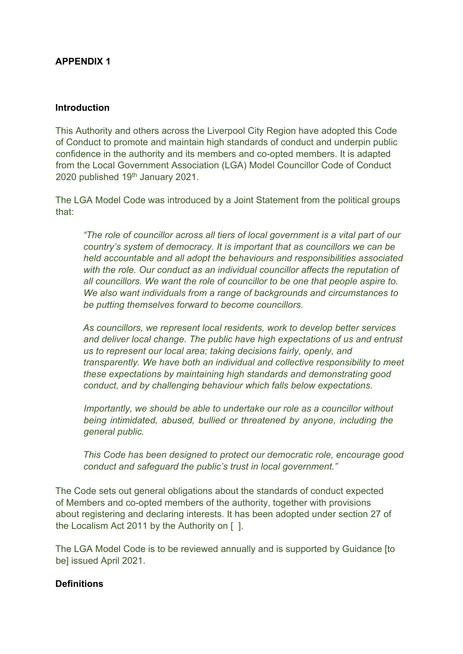### **APPENDIX 1**

#### **Introduction**

This Authority and others across the Liverpool City Region have adopted this Code of Conduct to promote and maintain high standards of conduct and underpin public confidence in the authority and its members and co-opted members. It is adapted from the Local Government Association (LGA) Model Councillor Code of Conduct 2020 published 19th January 2021.

The LGA Model Code was introduced by a Joint Statement from the political groups that:

*"The role of councillor across all tiers of local government is a vital part of our country's system of democracy. It is important that as councillors we can be held accountable and all adopt the behaviours and responsibilities associated with the role. Our conduct as an individual councillor affects the reputation of all councillors. We want the role of councillor to be one that people aspire to. We also want individuals from a range of backgrounds and circumstances to be putting themselves forward to become councillors.* 

*As councillors, we represent local residents, work to develop better services and deliver local change. The public have high expectations of us and entrust us to represent our local area; taking decisions fairly, openly, and transparently. We have both an individual and collective responsibility to meet these expectations by maintaining high standards and demonstrating good conduct, and by challenging behaviour which falls below expectations.* 

*Importantly, we should be able to undertake our role as a councillor without being intimidated, abused, bullied or threatened by anyone, including the general public.* 

*This Code has been designed to protect our democratic role, encourage good conduct and safeguard the public's trust in local government."*

The Code sets out general obligations about the standards of conduct expected of Members and co-opted members of the authority, together with provisions about registering and declaring interests. It has been adopted under section 27 of the Localism Act 2011 by the Authority on [ ].

The LGA Model Code is to be reviewed annually and is supported by Guidance [to be] issued April 2021.

#### **Definitions**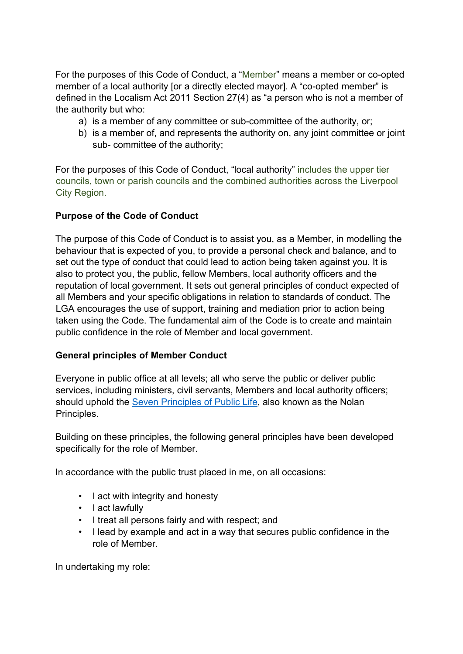For the purposes of this Code of Conduct, a "Member" means a member or co-opted member of a local authority [or a directly elected mayor]. A "co-opted member" is defined in the Localism Act 2011 Section 27(4) as "a person who is not a member of the authority but who:

- a) is a member of any committee or sub-committee of the authority, or;
- b) is a member of, and represents the authority on, any joint committee or joint sub- committee of the authority;

For the purposes of this Code of Conduct, "local authority" includes the upper tier councils, town or parish councils and the combined authorities across the Liverpool City Region.

### **Purpose of the Code of Conduct**

The purpose of this Code of Conduct is to assist you, as a Member, in modelling the behaviour that is expected of you, to provide a personal check and balance, and to set out the type of conduct that could lead to action being taken against you. It is also to protect you, the public, fellow Members, local authority officers and the reputation of local government. It sets out general principles of conduct expected of all Members and your specific obligations in relation to standards of conduct. The LGA encourages the use of support, training and mediation prior to action being taken using the Code. The fundamental aim of the Code is to create and maintain public confidence in the role of Member and local government.

### **General principles of Member Conduct**

Everyone in public office at all levels; all who serve the public or deliver public services, including ministers, civil servants, Members and local authority officers; should uphold the Seven [Principles](https://www.gov.uk/government/publications/the-7-principles-of-public-life/the-7-principles-of-public-life--2) of Public Life, also known as the Nolan Principles.

Building on these principles, the following general principles have been developed specifically for the role of Member.

In accordance with the public trust placed in me, on all occasions:

- I act with integrity and honesty
- I act lawfully
- I treat all persons fairly and with respect; and
- I lead by example and act in a way that secures public confidence in the role of Member.

In undertaking my role: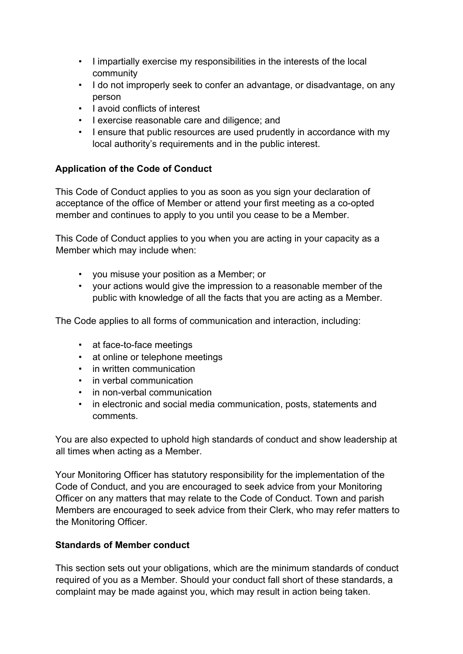- I impartially exercise my responsibilities in the interests of the local community
- I do not improperly seek to confer an advantage, or disadvantage, on any person
- I avoid conflicts of interest
- I exercise reasonable care and diligence; and
- I ensure that public resources are used prudently in accordance with my local authority's requirements and in the public interest.

### **Application of the Code of Conduct**

This Code of Conduct applies to you as soon as you sign your declaration of acceptance of the office of Member or attend your first meeting as a co-opted member and continues to apply to you until you cease to be a Member.

This Code of Conduct applies to you when you are acting in your capacity as a Member which may include when:

- you misuse your position as a Member; or
- your actions would give the impression to a reasonable member of the public with knowledge of all the facts that you are acting as a Member.

The Code applies to all forms of communication and interaction, including:

- at face-to-face meetings
- at online or telephone meetings
- in written communication
- in verbal communication
- in non-verbal communication
- in electronic and social media communication, posts, statements and comments.

You are also expected to uphold high standards of conduct and show leadership at all times when acting as a Member.

Your Monitoring Officer has statutory responsibility for the implementation of the Code of Conduct, and you are encouraged to seek advice from your Monitoring Officer on any matters that may relate to the Code of Conduct. Town and parish Members are encouraged to seek advice from their Clerk, who may refer matters to the Monitoring Officer.

### **Standards of Member conduct**

This section sets out your obligations, which are the minimum standards of conduct required of you as a Member. Should your conduct fall short of these standards, a complaint may be made against you, which may result in action being taken.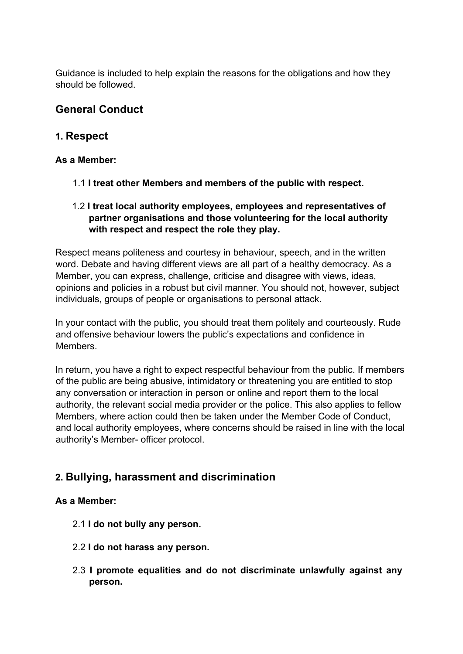Guidance is included to help explain the reasons for the obligations and how they should be followed.

# **General Conduct**

## **1. Respect**

### **As a Member:**

- 1.1 **I treat other Members and members of the public with respect.**
- 1.2 **I treat local authority employees, employees and representatives of partner organisations and those volunteering for the local authority with respect and respect the role they play.**

Respect means politeness and courtesy in behaviour, speech, and in the written word. Debate and having different views are all part of a healthy democracy. As a Member, you can express, challenge, criticise and disagree with views, ideas, opinions and policies in a robust but civil manner. You should not, however, subject individuals, groups of people or organisations to personal attack.

In your contact with the public, you should treat them politely and courteously. Rude and offensive behaviour lowers the public's expectations and confidence in Members.

In return, you have a right to expect respectful behaviour from the public. If members of the public are being abusive, intimidatory or threatening you are entitled to stop any conversation or interaction in person or online and report them to the local authority, the relevant social media provider or the police. This also applies to fellow Members, where action could then be taken under the Member Code of Conduct, and local authority employees, where concerns should be raised in line with the local authority's Member- officer protocol.

# **2. Bullying, harassment and discrimination**

### **As a Member:**

- 2.1 **I do not bully any person.**
- 2.2 **I do not harass any person.**
- 2.3 **I promote equalities and do not discriminate unlawfully against any person.**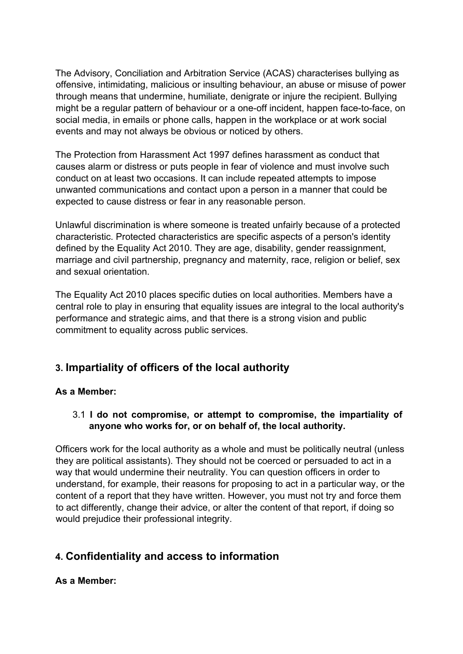The Advisory, Conciliation and Arbitration Service (ACAS) characterises bullying as offensive, intimidating, malicious or insulting behaviour, an abuse or misuse of power through means that undermine, humiliate, denigrate or injure the recipient. Bullying might be a regular pattern of behaviour or a one-off incident, happen face-to-face, on social media, in emails or phone calls, happen in the workplace or at work social events and may not always be obvious or noticed by others.

The Protection from Harassment Act 1997 defines harassment as conduct that causes alarm or distress or puts people in fear of violence and must involve such conduct on at least two occasions. It can include repeated attempts to impose unwanted communications and contact upon a person in a manner that could be expected to cause distress or fear in any reasonable person.

Unlawful discrimination is where someone is treated unfairly because of a protected characteristic. Protected characteristics are specific aspects of a person's identity defined by the Equality Act 2010. They are age, disability, gender reassignment, marriage and civil partnership, pregnancy and maternity, race, religion or belief, sex and sexual orientation.

The Equality Act 2010 places specific duties on local authorities. Members have a central role to play in ensuring that equality issues are integral to the local authority's performance and strategic aims, and that there is a strong vision and public commitment to equality across public services.

# **3. Impartiality of officers of the local authority**

### **As a Member:**

### 3.1 **I do not compromise, or attempt to compromise, the impartiality of anyone who works for, or on behalf of, the local authority.**

Officers work for the local authority as a whole and must be politically neutral (unless they are political assistants). They should not be coerced or persuaded to act in a way that would undermine their neutrality. You can question officers in order to understand, for example, their reasons for proposing to act in a particular way, or the content of a report that they have written. However, you must not try and force them to act differently, change their advice, or alter the content of that report, if doing so would prejudice their professional integrity.

# **4. Confidentiality and access to information**

### **As a Member:**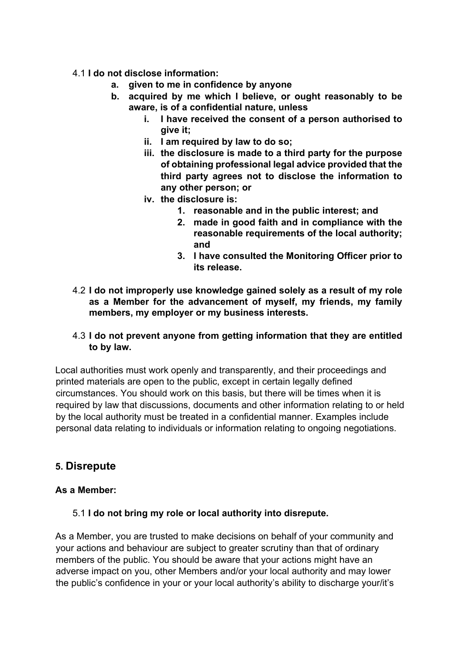#### 4.1 **I do not disclose information:**

- **a. given to me in confidence by anyone**
- **b. acquired by me which I believe, or ought reasonably to be aware, is of a confidential nature, unless**
	- **i. I have received the consent of a person authorised to give it;**
	- **ii. I am required by law to do so;**
	- **iii. the disclosure is made to a third party for the purpose of obtaining professional legal advice provided that the third party agrees not to disclose the information to any other person; or**
	- **iv. the disclosure is:**
		- **1. reasonable and in the public interest; and**
		- **2. made in good faith and in compliance with the reasonable requirements of the local authority; and**
		- **3. I have consulted the Monitoring Officer prior to its release.**
- 4.2 **I do not improperly use knowledge gained solely as a result of my role as a Member for the advancement of myself, my friends, my family members, my employer or my business interests.**
- 4.3 **I do not prevent anyone from getting information that they are entitled to by law.**

Local authorities must work openly and transparently, and their proceedings and printed materials are open to the public, except in certain legally defined circumstances. You should work on this basis, but there will be times when it is required by law that discussions, documents and other information relating to or held by the local authority must be treated in a confidential manner. Examples include personal data relating to individuals or information relating to ongoing negotiations.

### **5. Disrepute**

#### **As a Member:**

### 5.1 **I do not bring my role or local authority into disrepute.**

As a Member, you are trusted to make decisions on behalf of your community and your actions and behaviour are subject to greater scrutiny than that of ordinary members of the public. You should be aware that your actions might have an adverse impact on you, other Members and/or your local authority and may lower the public's confidence in your or your local authority's ability to discharge your/it's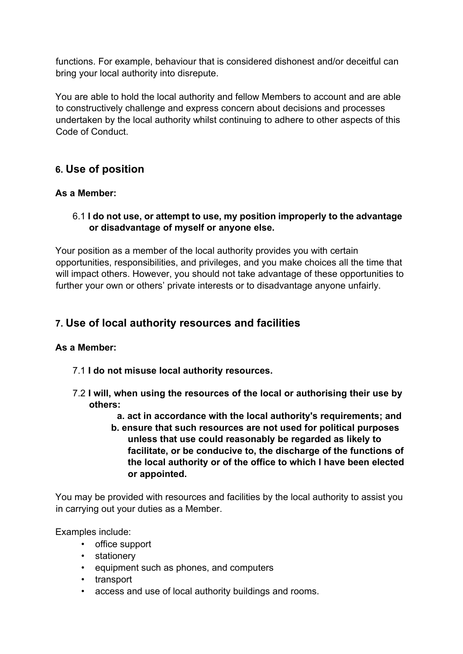functions. For example, behaviour that is considered dishonest and/or deceitful can bring your local authority into disrepute.

You are able to hold the local authority and fellow Members to account and are able to constructively challenge and express concern about decisions and processes undertaken by the local authority whilst continuing to adhere to other aspects of this Code of Conduct.

# **6. Use of position**

### **As a Member:**

#### 6.1 **I do not use, or attempt to use, my position improperly to the advantage or disadvantage of myself or anyone else.**

Your position as a member of the local authority provides you with certain opportunities, responsibilities, and privileges, and you make choices all the time that will impact others. However, you should not take advantage of these opportunities to further your own or others' private interests or to disadvantage anyone unfairly.

## **7. Use of local authority resources and facilities**

#### **As a Member:**

- 7.1 **I do not misuse local authority resources.**
- 7.2 **I will, when using the resources of the local or authorising their use by others:**
	- **a. act in accordance with the local authority's requirements; and**
	- **b. ensure that such resources are not used for political purposes unless that use could reasonably be regarded as likely to facilitate, or be conducive to, the discharge of the functions of the local authority or of the office to which I have been elected or appointed.**

You may be provided with resources and facilities by the local authority to assist you in carrying out your duties as a Member.

Examples include:

- office support
- stationery
- equipment such as phones, and computers
- transport
- access and use of local authority buildings and rooms.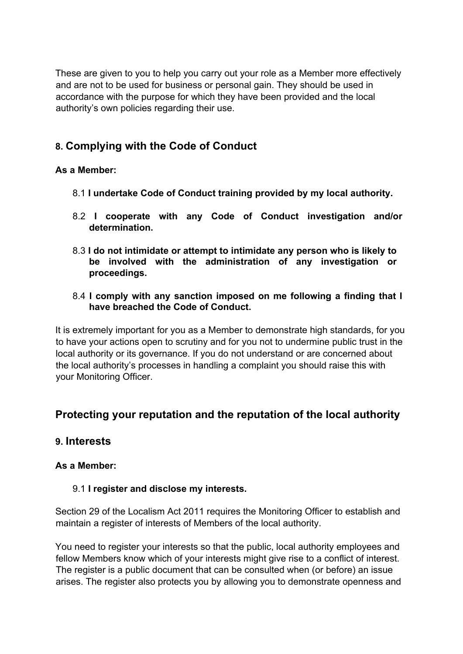These are given to you to help you carry out your role as a Member more effectively and are not to be used for business or personal gain. They should be used in accordance with the purpose for which they have been provided and the local authority's own policies regarding their use.

# **8. Complying with the Code of Conduct**

### **As a Member:**

- 8.1 **I undertake Code of Conduct training provided by my local authority.**
- 8.2 **I cooperate with any Code of Conduct investigation and/or determination.**
- 8.3 **I do not intimidate or attempt to intimidate any person who is likely to be involved with the administration of any investigation or proceedings.**
- 8.4 **I comply with any sanction imposed on me following a finding that I have breached the Code of Conduct.**

It is extremely important for you as a Member to demonstrate high standards, for you to have your actions open to scrutiny and for you not to undermine public trust in the local authority or its governance. If you do not understand or are concerned about the local authority's processes in handling a complaint you should raise this with your Monitoring Officer.

# **Protecting your reputation and the reputation of the local authority**

### **9. Interests**

### **As a Member:**

### 9.1 **I register and disclose my interests.**

Section 29 of the Localism Act 2011 requires the Monitoring Officer to establish and maintain a register of interests of Members of the local authority.

You need to register your interests so that the public, local authority employees and fellow Members know which of your interests might give rise to a conflict of interest. The register is a public document that can be consulted when (or before) an issue arises. The register also protects you by allowing you to demonstrate openness and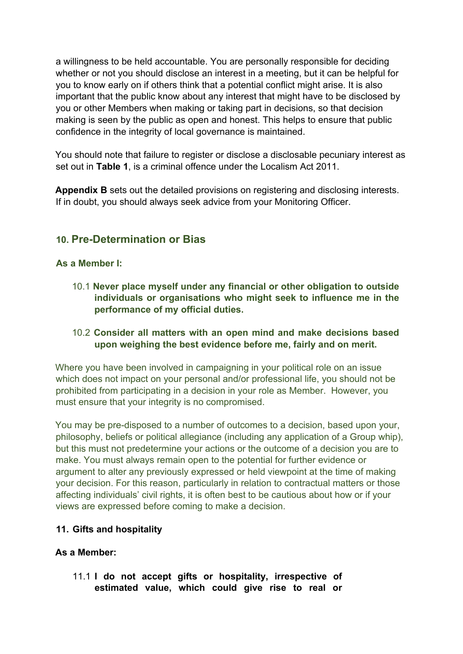a willingness to be held accountable. You are personally responsible for deciding whether or not you should disclose an interest in a meeting, but it can be helpful for you to know early on if others think that a potential conflict might arise. It is also important that the public know about any interest that might have to be disclosed by you or other Members when making or taking part in decisions, so that decision making is seen by the public as open and honest. This helps to ensure that public confidence in the integrity of local governance is maintained.

You should note that failure to register or disclose a disclosable pecuniary interest as set out in **Table 1**, is a criminal offence under the Localism Act 2011.

**Appendix B** sets out the detailed provisions on registering and disclosing interests. If in doubt, you should always seek advice from your Monitoring Officer.

# **10. Pre-Determination or Bias**

#### **As a Member I:**

10.1 **Never place myself under any financial or other obligation to outside individuals or organisations who might seek to influence me in the performance of my official duties.**

#### 10.2 **Consider all matters with an open mind and make decisions based upon weighing the best evidence before me, fairly and on merit.**

Where you have been involved in campaigning in your political role on an issue which does not impact on your personal and/or professional life, you should not be prohibited from participating in a decision in your role as Member. However, you must ensure that your integrity is no compromised.

You may be pre-disposed to a number of outcomes to a decision, based upon your, philosophy, beliefs or political allegiance (including any application of a Group whip), but this must not predetermine your actions or the outcome of a decision you are to make. You must always remain open to the potential for further evidence or argument to alter any previously expressed or held viewpoint at the time of making your decision. For this reason, particularly in relation to contractual matters or those affecting individuals' civil rights, it is often best to be cautious about how or if your views are expressed before coming to make a decision.

### **11. Gifts and hospitality**

#### **As a Member:**

11.1 **I do not accept gifts or hospitality, irrespective of estimated value, which could give rise to real or**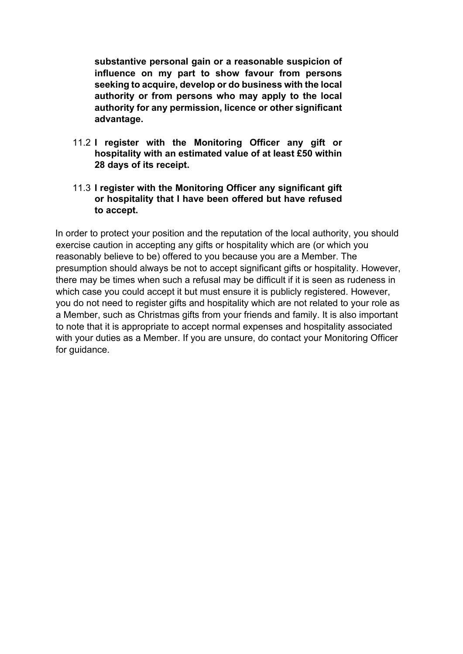**substantive personal gain or a reasonable suspicion of influence on my part to show favour from persons seeking to acquire, develop or do business with the local authority or from persons who may apply to the local authority for any permission, licence or other significant advantage.**

- 11.2 **I register with the Monitoring Officer any gift or hospitality with an estimated value of at least £50 within 28 days of its receipt.**
- 11.3 **I register with the Monitoring Officer any significant gift or hospitality that I have been offered but have refused to accept.**

In order to protect your position and the reputation of the local authority, you should exercise caution in accepting any gifts or hospitality which are (or which you reasonably believe to be) offered to you because you are a Member. The presumption should always be not to accept significant gifts or hospitality. However, there may be times when such a refusal may be difficult if it is seen as rudeness in which case you could accept it but must ensure it is publicly registered. However, you do not need to register gifts and hospitality which are not related to your role as a Member, such as Christmas gifts from your friends and family. It is also important to note that it is appropriate to accept normal expenses and hospitality associated with your duties as a Member. If you are unsure, do contact your Monitoring Officer for guidance.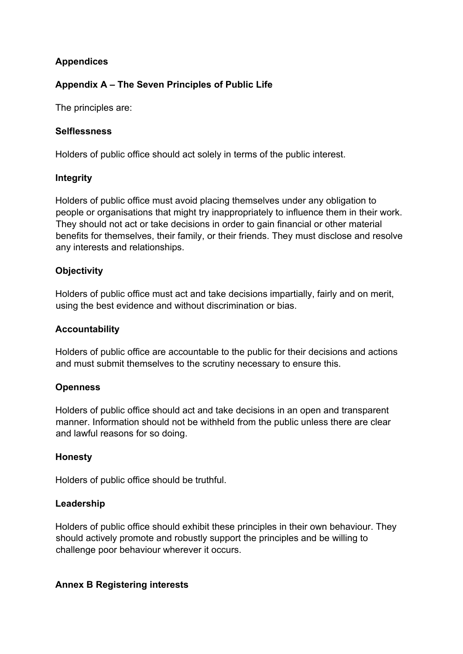### **Appendices**

### **Appendix A – The Seven Principles of Public Life**

The principles are:

#### **Selflessness**

Holders of public office should act solely in terms of the public interest.

#### **Integrity**

Holders of public office must avoid placing themselves under any obligation to people or organisations that might try inappropriately to influence them in their work. They should not act or take decisions in order to gain financial or other material benefits for themselves, their family, or their friends. They must disclose and resolve any interests and relationships.

### **Objectivity**

Holders of public office must act and take decisions impartially, fairly and on merit, using the best evidence and without discrimination or bias.

#### **Accountability**

Holders of public office are accountable to the public for their decisions and actions and must submit themselves to the scrutiny necessary to ensure this.

### **Openness**

Holders of public office should act and take decisions in an open and transparent manner. Information should not be withheld from the public unless there are clear and lawful reasons for so doing.

### **Honesty**

Holders of public office should be truthful.

### **Leadership**

Holders of public office should exhibit these principles in their own behaviour. They should actively promote and robustly support the principles and be willing to challenge poor behaviour wherever it occurs.

### **Annex B Registering interests**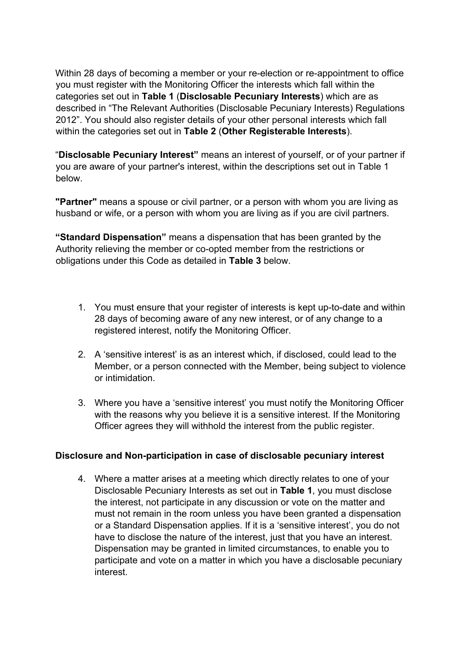Within 28 days of becoming a member or your re-election or re-appointment to office you must register with the Monitoring Officer the interests which fall within the categories set out in **Table 1** (**Disclosable Pecuniary Interests**) which are as described in "The Relevant Authorities (Disclosable Pecuniary Interests) Regulations 2012". You should also register details of your other personal interests which fall within the categories set out in **Table 2** (**Other Registerable Interests**).

"**Disclosable Pecuniary Interest"** means an interest of yourself, or of your partner if you are aware of your partner's interest, within the descriptions set out in Table 1 below.

**"Partner"** means a spouse or civil partner, or a person with whom you are living as husband or wife, or a person with whom you are living as if you are civil partners.

**"Standard Dispensation"** means a dispensation that has been granted by the Authority relieving the member or co-opted member from the restrictions or obligations under this Code as detailed in **Table 3** below.

- 1. You must ensure that your register of interests is kept up-to-date and within 28 days of becoming aware of any new interest, or of any change to a registered interest, notify the Monitoring Officer.
- 2. A 'sensitive interest' is as an interest which, if disclosed, could lead to the Member, or a person connected with the Member, being subject to violence or intimidation.
- 3. Where you have a 'sensitive interest' you must notify the Monitoring Officer with the reasons why you believe it is a sensitive interest. If the Monitoring Officer agrees they will withhold the interest from the public register.

### **Disclosure and Non-participation in case of disclosable pecuniary interest**

4. Where a matter arises at a meeting which directly relates to one of your Disclosable Pecuniary Interests as set out in **Table 1**, you must disclose the interest, not participate in any discussion or vote on the matter and must not remain in the room unless you have been granted a dispensation or a Standard Dispensation applies. If it is a 'sensitive interest', you do not have to disclose the nature of the interest, just that you have an interest. Dispensation may be granted in limited circumstances, to enable you to participate and vote on a matter in which you have a disclosable pecuniary interest.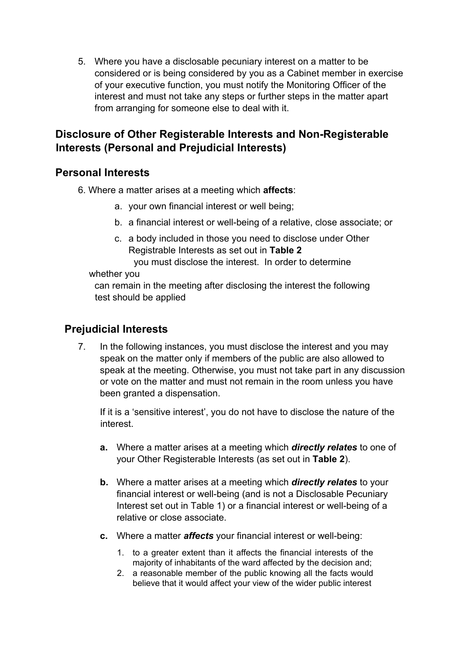5. Where you have a disclosable pecuniary interest on a matter to be considered or is being considered by you as a Cabinet member in exercise of your executive function, you must notify the Monitoring Officer of the interest and must not take any steps or further steps in the matter apart from arranging for someone else to deal with it.

# **Disclosure of Other Registerable Interests and Non-Registerable Interests (Personal and Prejudicial Interests)**

# **Personal Interests**

6. Where a matter arises at a meeting which **affects**:

- a. your own financial interest or well being;
- b. a financial interest or well-being of a relative, close associate; or
- c. a body included in those you need to disclose under Other Registrable Interests as set out in **Table 2**

you must disclose the interest. In order to determine

#### whether you

can remain in the meeting after disclosing the interest the following test should be applied

# **Prejudicial Interests**

7. In the following instances, you must disclose the interest and you may speak on the matter only if members of the public are also allowed to speak at the meeting. Otherwise, you must not take part in any discussion or vote on the matter and must not remain in the room unless you have been granted a dispensation.

If it is a 'sensitive interest', you do not have to disclose the nature of the interest.

- **a.** Where a matter arises at a meeting which *directly relates* to one of your Other Registerable Interests (as set out in **Table 2**).
- **b.** Where a matter arises at a meeting which *directly relates* to your financial interest or well-being (and is not a Disclosable Pecuniary Interest set out in Table 1) or a financial interest or well-being of a relative or close associate.
- **c.** Where a matter *affects* your financial interest or well-being:
	- 1. to a greater extent than it affects the financial interests of the majority of inhabitants of the ward affected by the decision and;
	- 2. a reasonable member of the public knowing all the facts would believe that it would affect your view of the wider public interest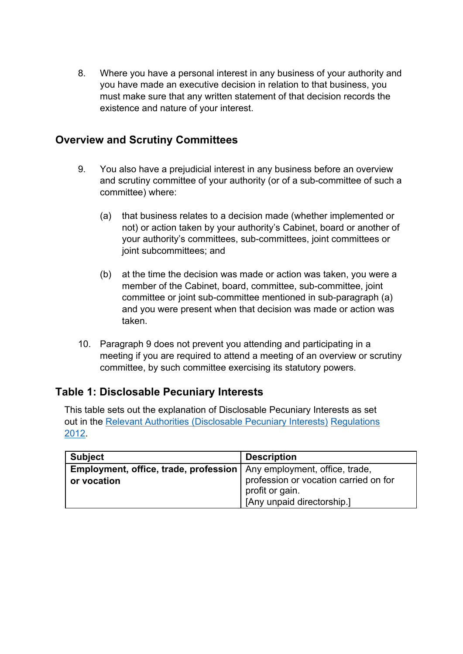8. Where you have a personal interest in any business of your authority and you have made an executive decision in relation to that business, you must make sure that any written statement of that decision records the existence and nature of your interest.

## **Overview and Scrutiny Committees**

- 9. You also have a prejudicial interest in any business before an overview and scrutiny committee of your authority (or of a sub-committee of such a committee) where:
	- (a) that business relates to a decision made (whether implemented or not) or action taken by your authority's Cabinet, board or another of your authority's committees, sub-committees, joint committees or joint subcommittees; and
	- (b) at the time the decision was made or action was taken, you were a member of the Cabinet, board, committee, sub-committee, joint committee or joint sub-committee mentioned in sub-paragraph (a) and you were present when that decision was made or action was taken.
- 10. Paragraph 9 does not prevent you attending and participating in a meeting if you are required to attend a meeting of an overview or scrutiny committee, by such committee exercising its statutory powers.

# **Table 1: Disclosable Pecuniary Interests**

This table sets out the explanation of Disclosable Pecuniary Interests as set out in the Relevant Authorities [\(Disclosable](https://www.legislation.gov.uk/uksi/2012/1464/made) Pecuniary Interests) Regulations [2012.](https://www.legislation.gov.uk/uksi/2012/1464/made)

| <b>Subject</b>                                                                | <b>Description</b>                    |
|-------------------------------------------------------------------------------|---------------------------------------|
| <b>Employment, office, trade, profession</b>   Any employment, office, trade, |                                       |
| or vocation                                                                   | profession or vocation carried on for |
|                                                                               | profit or gain.                       |
|                                                                               | [Any unpaid directorship.]            |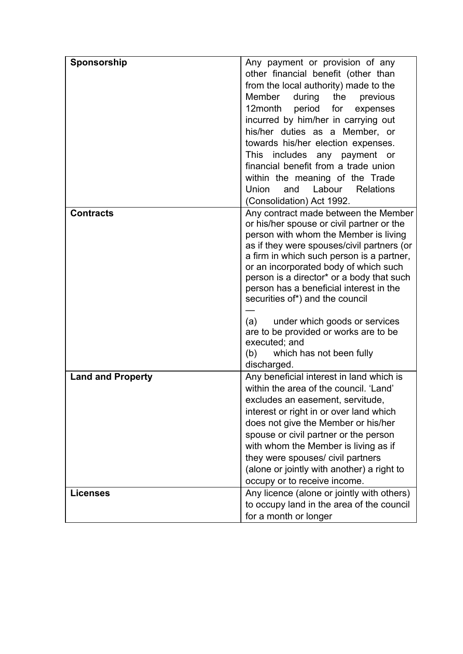| Sponsorship              | Any payment or provision of any                                        |
|--------------------------|------------------------------------------------------------------------|
|                          | other financial benefit (other than                                    |
|                          | from the local authority) made to the                                  |
|                          | Member<br>the<br>during<br>previous                                    |
|                          | 12month period for expenses                                            |
|                          |                                                                        |
|                          | incurred by him/her in carrying out                                    |
|                          | his/her duties as a Member, or                                         |
|                          | towards his/her election expenses.                                     |
|                          | This includes any payment or                                           |
|                          | financial benefit from a trade union                                   |
|                          | within the meaning of the Trade                                        |
|                          | <b>Union</b><br>and<br>Labour<br><b>Relations</b>                      |
|                          | (Consolidation) Act 1992.                                              |
| <b>Contracts</b>         | Any contract made between the Member                                   |
|                          | or his/her spouse or civil partner or the                              |
|                          | person with whom the Member is living                                  |
|                          | as if they were spouses/civil partners (or                             |
|                          | a firm in which such person is a partner,                              |
|                          | or an incorporated body of which such                                  |
|                          | person is a director* or a body that such                              |
|                          | person has a beneficial interest in the                                |
|                          | securities of*) and the council                                        |
|                          | (a)                                                                    |
|                          | under which goods or services<br>are to be provided or works are to be |
|                          | executed; and                                                          |
|                          | (b)<br>which has not been fully                                        |
|                          | discharged.                                                            |
| <b>Land and Property</b> | Any beneficial interest in land which is                               |
|                          | within the area of the council. 'Land'                                 |
|                          | excludes an easement, servitude                                        |
|                          | interest or right in or over land which                                |
|                          | does not give the Member or his/her                                    |
|                          | spouse or civil partner or the person                                  |
|                          | with whom the Member is living as if                                   |
|                          | they were spouses/ civil partners                                      |
|                          | (alone or jointly with another) a right to                             |
|                          | occupy or to receive income.                                           |
| <b>Licenses</b>          | Any licence (alone or jointly with others)                             |
|                          | to occupy land in the area of the council                              |
|                          |                                                                        |
|                          | for a month or longer                                                  |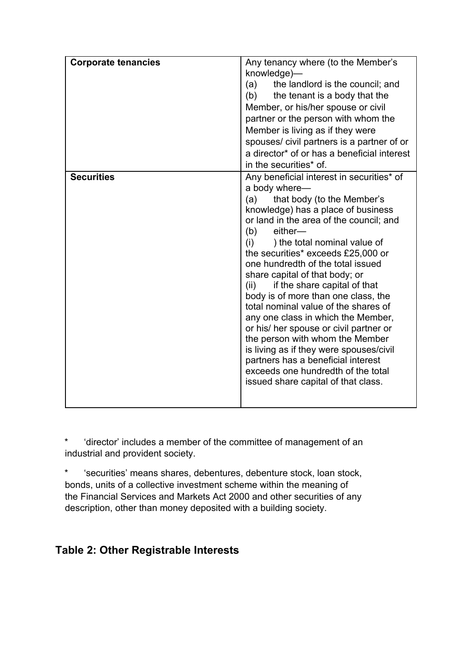| <b>Corporate tenancies</b> | Any tenancy where (to the Member's<br>knowledge)-<br>the landlord is the council; and<br>(a)<br>(b) the tenant is a body that the<br>Member, or his/her spouse or civil<br>partner or the person with whom the<br>Member is living as if they were<br>spouses/ civil partners is a partner of or<br>a director* of or has a beneficial interest<br>in the securities* of.                                                                                                                                                                                                                                                                                                                                                                                         |
|----------------------------|-------------------------------------------------------------------------------------------------------------------------------------------------------------------------------------------------------------------------------------------------------------------------------------------------------------------------------------------------------------------------------------------------------------------------------------------------------------------------------------------------------------------------------------------------------------------------------------------------------------------------------------------------------------------------------------------------------------------------------------------------------------------|
| <b>Securities</b>          | Any beneficial interest in securities* of<br>a body where-<br>that body (to the Member's<br>(a)<br>knowledge) has a place of business<br>or land in the area of the council; and<br>(b)<br>$e$ ither—<br>(i)<br>) the total nominal value of<br>the securities* exceeds £25,000 or<br>one hundredth of the total issued<br>share capital of that body; or<br>if the share capital of that<br>(ii)<br>body is of more than one class, the<br>total nominal value of the shares of<br>any one class in which the Member,<br>or his/ her spouse or civil partner or<br>the person with whom the Member<br>is living as if they were spouses/civil<br>partners has a beneficial interest<br>exceeds one hundredth of the total<br>issued share capital of that class. |

'director' includes a member of the committee of management of an industrial and provident society.

\* 'securities' means shares, debentures, debenture stock, loan stock, bonds, units of a collective investment scheme within the meaning of the Financial Services and Markets Act 2000 and other securities of any description, other than money deposited with a building society.

# **Table 2: Other Registrable Interests**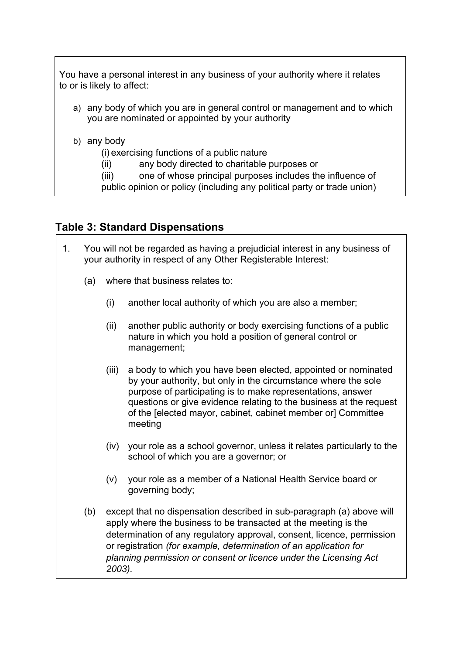You have a personal interest in any business of your authority where it relates to or is likely to affect:

- a) any body of which you are in general control or management and to which you are nominated or appointed by your authority
- b) any body
	- (i) exercising functions of a public nature
	- (ii) any body directed to charitable purposes or
	- (iii) one of whose principal purposes includes the influence of

public opinion or policy (including any political party or trade union)

### **Table 3: Standard Dispensations**

- 1. You will not be regarded as having a prejudicial interest in any business of your authority in respect of any Other Registerable Interest:
	- (a) where that business relates to:
		- (i) another local authority of which you are also a member;
		- (ii) another public authority or body exercising functions of a public nature in which you hold a position of general control or management;
		- (iii) a body to which you have been elected, appointed or nominated by your authority, but only in the circumstance where the sole purpose of participating is to make representations, answer questions or give evidence relating to the business at the request of the [elected mayor, cabinet, cabinet member or] Committee meeting
		- (iv) your role as a school governor, unless it relates particularly to the school of which you are a governor; or
		- (v) your role as a member of a National Health Service board or governing body;
	- (b) except that no dispensation described in sub-paragraph (a) above will apply where the business to be transacted at the meeting is the determination of any regulatory approval, consent, licence, permission or registration *(for example, determination of an application for planning permission or consent or licence under the Licensing Act 2003).*